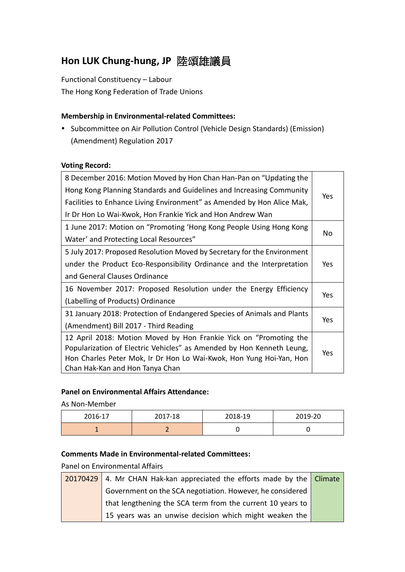# **Hon LUK Chung-hung, JP** 陸頌雄議員

Functional Constituency – Labour The Hong Kong Federation of Trade Unions

# **Membership in Environmental-related Committees:**

• Subcommittee on Air Pollution Control (Vehicle Design Standards) (Emission) (Amendment) Regulation 2017

#### **Voting Record:**

| 8 December 2016: Motion Moved by Hon Chan Han-Pan on "Updating the      |     |
|-------------------------------------------------------------------------|-----|
| Hong Kong Planning Standards and Guidelines and Increasing Community    | Yes |
| Facilities to Enhance Living Environment" as Amended by Hon Alice Mak,  |     |
| Ir Dr Hon Lo Wai-Kwok, Hon Frankie Yick and Hon Andrew Wan              |     |
| 1 June 2017: Motion on "Promoting 'Hong Kong People Using Hong Kong     | No  |
| Water' and Protecting Local Resources"                                  |     |
| 5 July 2017: Proposed Resolution Moved by Secretary for the Environment |     |
| under the Product Eco-Responsibility Ordinance and the Interpretation   | Yes |
| and General Clauses Ordinance                                           |     |
| 16 November 2017: Proposed Resolution under the Energy Efficiency       |     |
| (Labelling of Products) Ordinance                                       | Yes |
| 31 January 2018: Protection of Endangered Species of Animals and Plants |     |
| (Amendment) Bill 2017 - Third Reading                                   | Yes |
| 12 April 2018: Motion Moved by Hon Frankie Yick on "Promoting the       |     |
| Popularization of Electric Vehicles" as Amended by Hon Kenneth Leung,   | Yes |
| Hon Charles Peter Mok, Ir Dr Hon Lo Wai-Kwok, Hon Yung Hoi-Yan, Hon     |     |
| Chan Hak-Kan and Hon Tanya Chan                                         |     |

## **Panel on Environmental Affairs Attendance:**

As Non-Member

| 2016-17 | 2017-18 | 2018-19 | 2019-20 |
|---------|---------|---------|---------|
|         |         |         |         |

## **Comments Made in Environmental-related Committees:**

Panel on Environmental Affairs

|  | 20170429 4. Mr CHAN Hak-kan appreciated the efforts made by the Climate |  |
|--|-------------------------------------------------------------------------|--|
|  | Government on the SCA negotiation. However, he considered               |  |
|  | that lengthening the SCA term from the current 10 years to              |  |
|  | 15 years was an unwise decision which might weaken the                  |  |